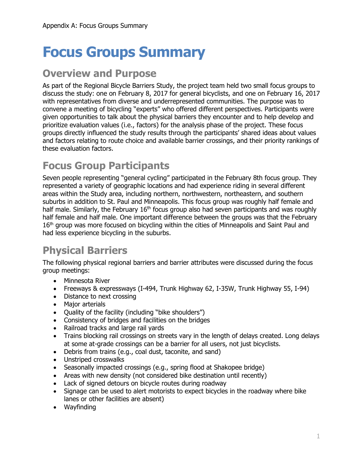# **Focus Groups Summary**

#### **Overview and Purpose**

As part of the Regional Bicycle Barriers Study, the project team held two small focus groups to discuss the study: one on February 8, 2017 for general bicyclists, and one on February 16, 2017 with representatives from diverse and underrepresented communities. The purpose was to convene a meeting of bicycling "experts" who offered different perspectives. Participants were given opportunities to talk about the physical barriers they encounter and to help develop and prioritize evaluation values (i.e., factors) for the analysis phase of the project. These focus groups directly influenced the study results through the participants' shared ideas about values and factors relating to route choice and available barrier crossings, and their priority rankings of these evaluation factors.

## **Focus Group Participants**

Seven people representing "general cycling" participated in the February 8th focus group. They represented a variety of geographic locations and had experience riding in several different areas within the Study area, including northern, northwestern, northeastern, and southern suburbs in addition to St. Paul and Minneapolis. This focus group was roughly half female and half male. Similarly, the February  $16<sup>th</sup>$  focus group also had seven participants and was roughly half female and half male. One important difference between the groups was that the February 16<sup>th</sup> group was more focused on bicycling within the cities of Minneapolis and Saint Paul and had less experience bicycling in the suburbs.

# **Physical Barriers**

The following physical regional barriers and barrier attributes were discussed during the focus group meetings:

- Minnesota River
- Freeways & expressways (I-494, Trunk Highway 62, I-35W, Trunk Highway 55, I-94)
- Distance to next crossing
- Major arterials
- Quality of the facility (including "bike shoulders")
- Consistency of bridges and facilities on the bridges
- Railroad tracks and large rail yards
- Trains blocking rail crossings on streets vary in the length of delays created. Long delays at some at-grade crossings can be a barrier for all users, not just bicyclists.
- Debris from trains (e.g., coal dust, taconite, and sand)
- Unstriped crosswalks
- Seasonally impacted crossings (e.g., spring flood at Shakopee bridge)
- Areas with new density (not considered bike destination until recently)
- Lack of signed detours on bicycle routes during roadway
- Signage can be used to alert motorists to expect bicycles in the roadway where bike lanes or other facilities are absent)
- Wayfinding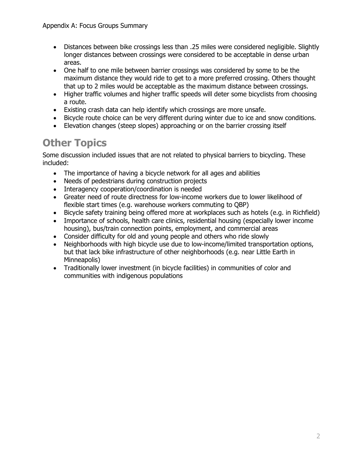- Distances between bike crossings less than .25 miles were considered negligible. Slightly longer distances between crossings were considered to be acceptable in dense urban areas.
- One half to one mile between barrier crossings was considered by some to be the maximum distance they would ride to get to a more preferred crossing. Others thought that up to 2 miles would be acceptable as the maximum distance between crossings.
- Higher traffic volumes and higher traffic speeds will deter some bicyclists from choosing a route.
- Existing crash data can help identify which crossings are more unsafe.
- Bicycle route choice can be very different during winter due to ice and snow conditions.
- Elevation changes (steep slopes) approaching or on the barrier crossing itself

## **Other Topics**

Some discussion included issues that are not related to physical barriers to bicycling. These included:

- The importance of having a bicycle network for all ages and abilities
- Needs of pedestrians during construction projects
- Interagency cooperation/coordination is needed
- Greater need of route directness for low-income workers due to lower likelihood of flexible start times (e.g. warehouse workers commuting to QBP)
- Bicycle safety training being offered more at workplaces such as hotels (e.g. in Richfield)
- Importance of schools, health care clinics, residential housing (especially lower income housing), bus/train connection points, employment, and commercial areas
- Consider difficulty for old and young people and others who ride slowly
- Neighborhoods with high bicycle use due to low-income/limited transportation options, but that lack bike infrastructure of other neighborhoods (e.g. near Little Earth in Minneapolis)
- Traditionally lower investment (in bicycle facilities) in communities of color and communities with indigenous populations